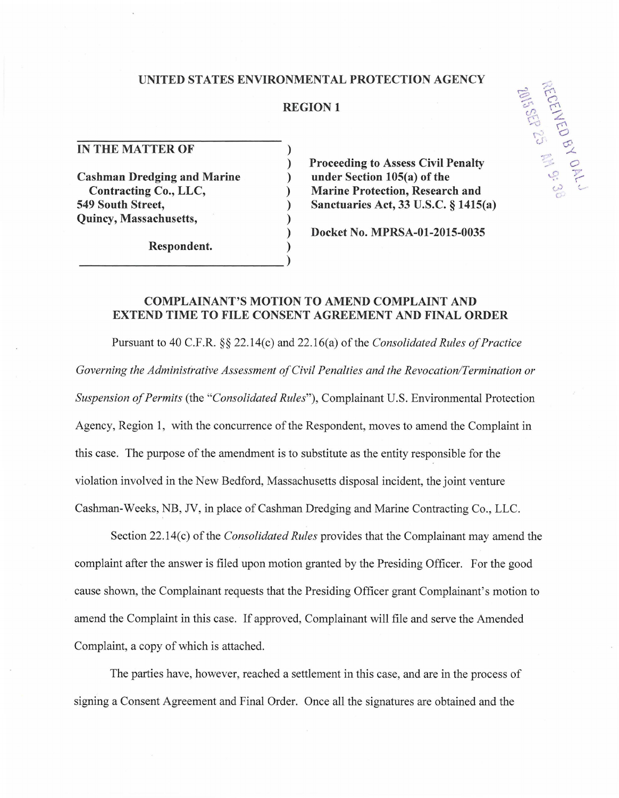### **UNITED STATES ENVIRONMENTAL PROTECTION AGENCY**

## **REGION 1**

)

)

**IN THE MATTER OF** 

**Cashman Dredging and Marine Contracting Co., LLC, 549 South Street, Quincy, Massachusetts,** 

Respondent. **Department** (

) **Proceeding to** Assess **Civil Penalty**  ) **under Section 105(a) of the**  ) **Marine Protection, Research and**  ) **Sanctuaries Act, 33 U.S.C. § 1415(a)** 

) **Docket No. MPRSA-01-2015-0035** 

# **COMPLAINANT'S MOTION TO AMEND COMPLAINT AND EXTEND TIME TO FILE CONSENT AGREEMENT AND FINAL ORDER**

Pursuant to 40 C.F.R. §§ 22.14(c) and 22.16(a) of the *Consolidated Rules of Practice Governing the Administrative Assessment of Civil Penalties and the Revocation/Termination or Suspension of Permits* (the *"Consolidated Rules"),* Complainant U.S. Environmental Protection Agency, Region 1, with the concurrence of the Respondent, moves to amend the Complaint in this case. The purpose of the amendment is to substitute as the entity responsible for the violation involved in the New Bedford, Massachusetts disposal incident, the joint venture Cashman-Weeks, NB, *N,* in place of Cashman Dredging and Marine Contracting Co., LLC.

Section 22.14(c) of the *Consolidated Rules* provides that the Complainant may amend the complaint after the answer is filed upon motion granted by the Presiding Officer. For the good cause shown, the Complainant requests that the Presiding Officer grant Complainant's motion to amend the Complaint in this case. If approved, Complainant will file and serve the Amended Complaint, a copy of which is attached.

The parties have, however, reached a settlement in this case, and are in the process of signing a Consent Agreement and Final Order. Once all the signatures are obtained and the

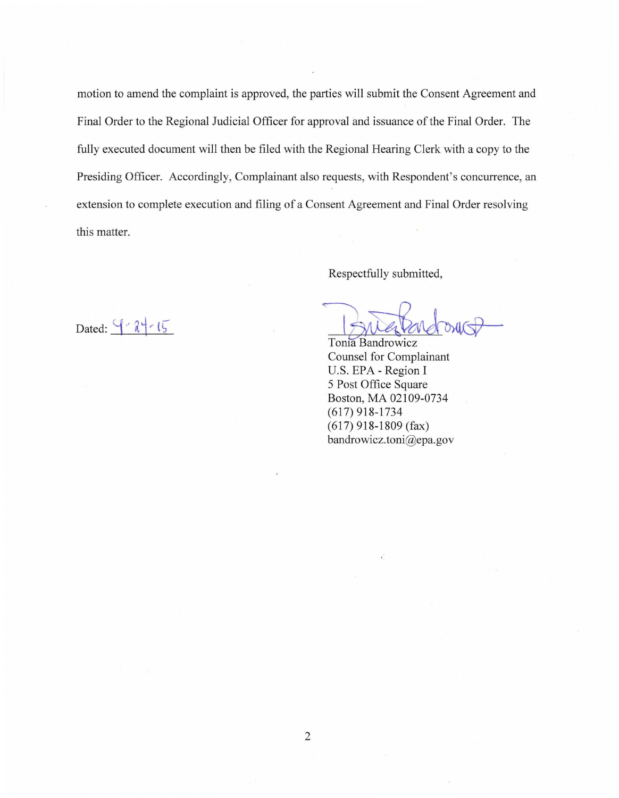motion to amend the complaint is approved, the parties will submit the Consent Agreement and Final Order to the Regional Judicial Officer for approval and issuance of the Final Order. The fully executed document will then be filed with the Regional Hearing Clerk with a copy to the Presiding Officer. Accordingly, Complainant also requests, with Respondent's concurrence, an extension to complete execution and filing of a Consent Agreement and Final Order resolving this matter.

Respectfully submitted,

Respectfully submitted,

Counsel for Complainant U.S. EPA- Region I 5 Post Office Square Boston, MA 02109-0734 (617) 918-1734 (617) 918-1809 (fax) bandrowicz. toni@epa. gov

Dated:  $9 - 2 + 15$